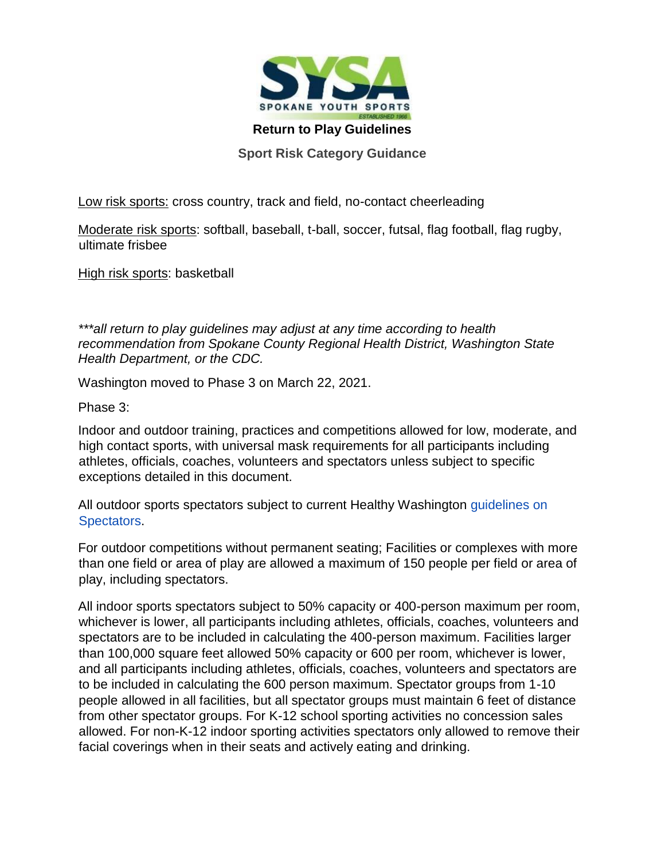

**Return to Play Guidelines** 

**Sport Risk Category Guidance** 

Low risk sports: cross country, track and field, no-contact cheerleading

Moderate risk sports: softball, baseball, t-ball, soccer, futsal, flag football, flag rugby, ultimate frisbee

High risk sports: basketball

*\*\*\*all return to play guidelines may adjust at any time according to health recommendation from Spokane County Regional Health District, Washington State Health Department, or the CDC.* 

Washington moved to Phase 3 on March 22, 2021.

Phase 3:

Indoor and outdoor training, practices and competitions allowed for low, moderate, and high contact sports, with universal mask requirements for all participants including athletes, officials, coaches, volunteers and spectators unless subject to specific exceptions detailed in this document.

All outdoor sports spectators subject to current Healthy Washington guidelines on Spectators.

For outdoor competitions without permanent seating; Facilities or complexes with more than one field or area of play are allowed a maximum of 150 people per field or area of play, including spectators.

All indoor sports spectators subject to 50% capacity or 400-person maximum per room, whichever is lower, all participants including athletes, officials, coaches, volunteers and spectators are to be included in calculating the 400-person maximum. Facilities larger than 100,000 square feet allowed 50% capacity or 600 per room, whichever is lower, and all participants including athletes, officials, coaches, volunteers and spectators are to be included in calculating the 600 person maximum. Spectator groups from 1-10 people allowed in all facilities, but all spectator groups must maintain 6 feet of distance from other spectator groups. For K-12 school sporting activities no concession sales allowed. For non-K-12 indoor sporting activities spectators only allowed to remove their facial coverings when in their seats and actively eating and drinking.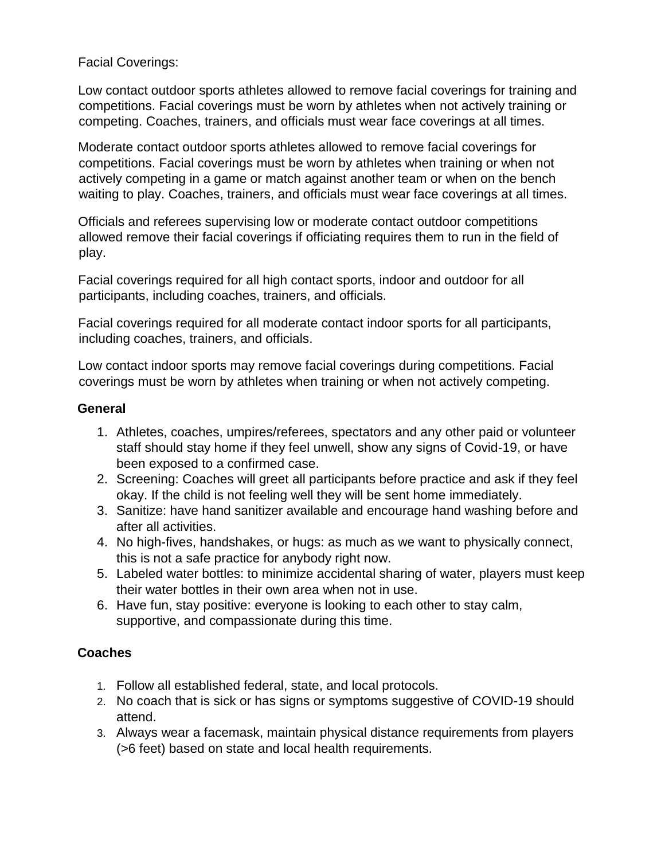### Facial Coverings:

Low contact outdoor sports athletes allowed to remove facial coverings for training and competitions. Facial coverings must be worn by athletes when not actively training or competing. Coaches, trainers, and officials must wear face coverings at all times.

Moderate contact outdoor sports athletes allowed to remove facial coverings for competitions. Facial coverings must be worn by athletes when training or when not actively competing in a game or match against another team or when on the bench waiting to play. Coaches, trainers, and officials must wear face coverings at all times.

Officials and referees supervising low or moderate contact outdoor competitions allowed remove their facial coverings if officiating requires them to run in the field of play.

Facial coverings required for all high contact sports, indoor and outdoor for all participants, including coaches, trainers, and officials.

Facial coverings required for all moderate contact indoor sports for all participants, including coaches, trainers, and officials.

Low contact indoor sports may remove facial coverings during competitions. Facial coverings must be worn by athletes when training or when not actively competing.

#### **General**

- 1. Athletes, coaches, umpires/referees, spectators and any other paid or volunteer staff should stay home if they feel unwell, show any signs of Covid-19, or have been exposed to a confirmed case.
- 2. Screening: Coaches will greet all participants before practice and ask if they feel okay. If the child is not feeling well they will be sent home immediately.
- 3. Sanitize: have hand sanitizer available and encourage hand washing before and after all activities.
- 4. No high-fives, handshakes, or hugs: as much as we want to physically connect, this is not a safe practice for anybody right now.
- 5. Labeled water bottles: to minimize accidental sharing of water, players must keep their water bottles in their own area when not in use.
- 6. Have fun, stay positive: everyone is looking to each other to stay calm, supportive, and compassionate during this time.

### **Coaches**

- 1. Follow all established federal, state, and local protocols.
- 2. No coach that is sick or has signs or symptoms suggestive of COVID-19 should attend.
- 3. Always wear a facemask, maintain physical distance requirements from players (>6 feet) based on state and local health requirements.